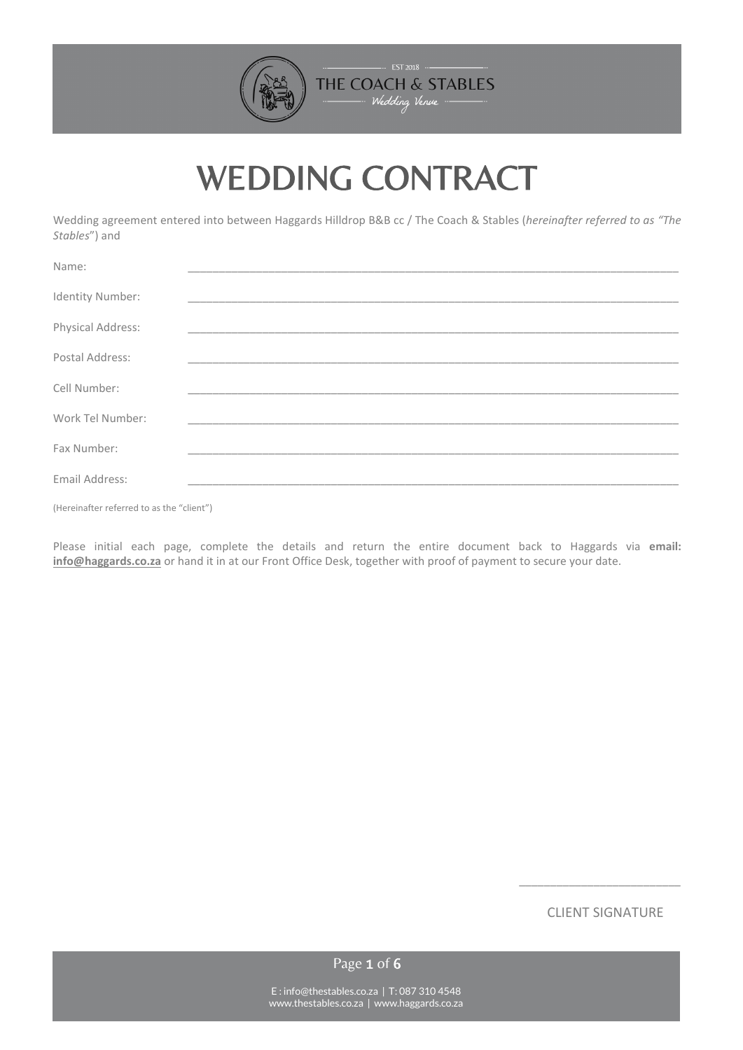

# WEDDING CONTRACT

Wedding agreement entered into between Haggards Hilldrop B&B cc / The Coach & Stables (*hereinafter referred to as "The Stables*") and

| Name:             |  |
|-------------------|--|
| Identity Number:  |  |
| Physical Address: |  |
| Postal Address:   |  |
| Cell Number:      |  |
| Work Tel Number:  |  |
| Fax Number:       |  |
| Email Address:    |  |
|                   |  |

(Hereinafter referred to as the "client")

Please initial each page, complete the details and return the entire document back to Haggards via **email: [info@haggards.co.za](mailto:info@haggards.co.za)** or hand it in at our Front Office Desk, together with proof of payment to secure your date.

CLIENT SIGNATURE

 $\_$ 

Page 1 of 6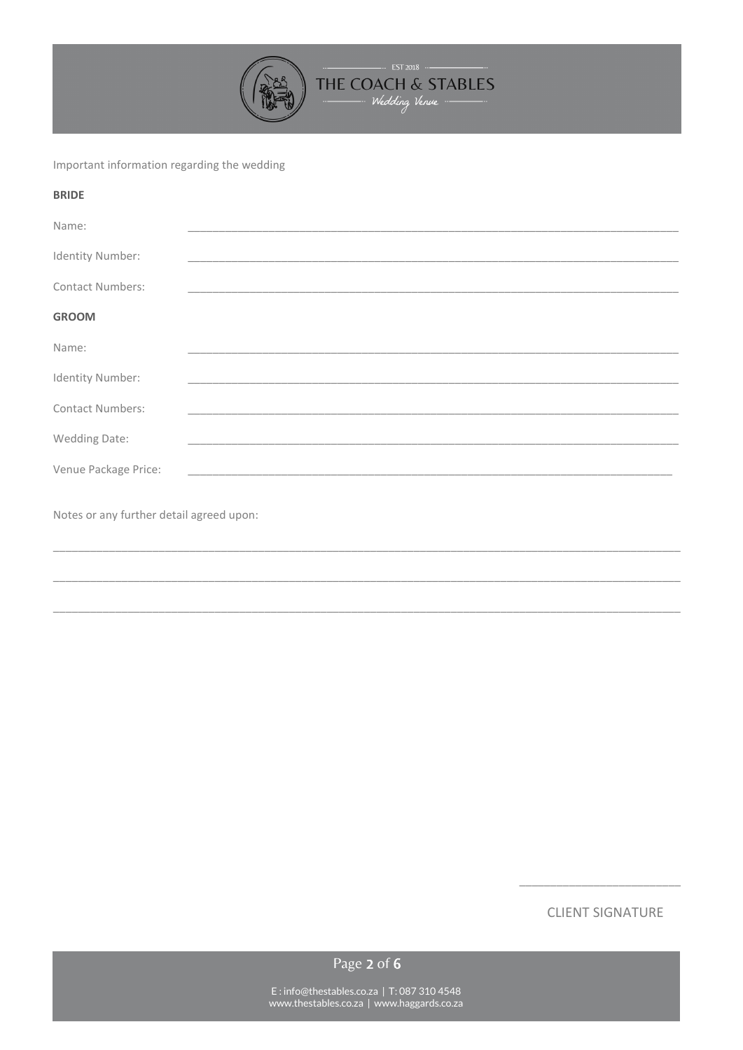

# Important information regarding the wedding

| <b>BRIDE</b>                             |                                                                  |  |  |
|------------------------------------------|------------------------------------------------------------------|--|--|
| Name:                                    |                                                                  |  |  |
| Identity Number:                         | <u> 1989 - Johann John Stone, Amerikaansk politiker (* 1908)</u> |  |  |
| <b>Contact Numbers:</b>                  |                                                                  |  |  |
| <b>GROOM</b>                             |                                                                  |  |  |
| Name:                                    |                                                                  |  |  |
| Identity Number:                         |                                                                  |  |  |
| <b>Contact Numbers:</b>                  | <u> 1989 - Johann Stoff, amerikansk politiker (d. 1989)</u>      |  |  |
| Wedding Date:                            | <u> 1989 - Johann Stoff, amerikansk politiker (d. 1989)</u>      |  |  |
| Venue Package Price:                     |                                                                  |  |  |
| Notes or any further detail agreed upon: |                                                                  |  |  |
|                                          |                                                                  |  |  |
|                                          |                                                                  |  |  |

**CLIENT SIGNATURE** 

Page 2 of 6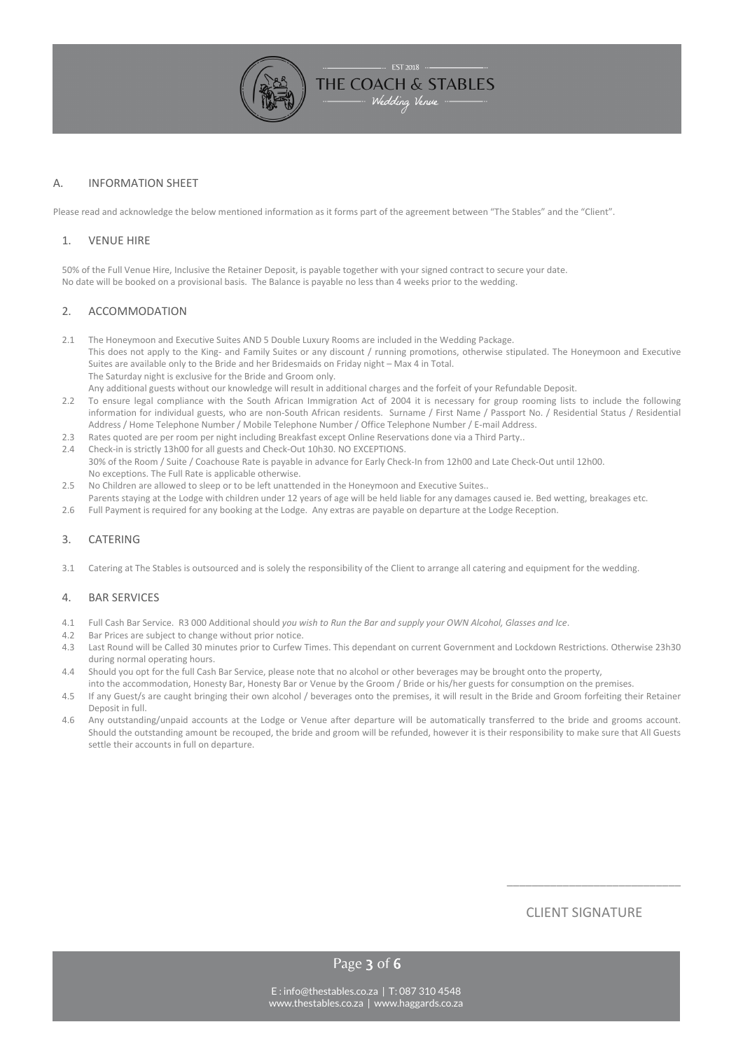

# A. INFORMATION SHEET

Please read and acknowledge the below mentioned information as it forms part of the agreement between "The Stables" and the "Client".

#### 1. VENUE HIRE

50% of the Full Venue Hire, Inclusive the Retainer Deposit, is payable together with your signed contract to secure your date. No date will be booked on a provisional basis. The Balance is payable no less than 4 weeks prior to the wedding.

#### 2. ACCOMMODATION

- 2.1 The Honeymoon and Executive Suites AND 5 Double Luxury Rooms are included in the Wedding Package. This does not apply to the King- and Family Suites or any discount / running promotions, otherwise stipulated. The Honeymoon and Executive Suites are available only to the Bride and her Bridesmaids on Friday night – Max 4 in Total. The Saturday night is exclusive for the Bride and Groom only. Any additional guests without our knowledge will result in additional charges and the forfeit of your Refundable Deposit.
- 2.2 To ensure legal compliance with the South African Immigration Act of 2004 it is necessary for group rooming lists to include the following information for individual guests, who are non-South African residents. Surname / First Name / Passport No. / Residential Status / Residential Address / Home Telephone Number / Mobile Telephone Number / Office Telephone Number / E-mail Address.
- 2.3 Rates quoted are per room per night including Breakfast except Online Reservations done via a Third Party..
- 2.4 Check-in is strictly 13h00 for all guests and Check-Out 10h30. NO EXCEPTIONS. 30% of the Room / Suite / Coachouse Rate is payable in advance for Early Check-In from 12h00 and Late Check-Out until 12h00. No exceptions. The Full Rate is applicable otherwise.
- 2.5 No Children are allowed to sleep or to be left unattended in the Honeymoon and Executive Suites.. Parents staying at the Lodge with children under 12 years of age will be held liable for any damages caused ie. Bed wetting, breakages etc.
- 2.6 Full Payment is required for any booking at the Lodge. Any extras are payable on departure at the Lodge Reception.

#### 3. CATERING

3.1 Catering at The Stables is outsourced and is solely the responsibility of the Client to arrange all catering and equipment for the wedding.

#### 4. BAR SERVICES

- 4.1 Full Cash Bar Service. R3 000 Additional should *you wish to Run the Bar and supply your OWN Alcohol, Glasses and Ice*.
- 4.2 Bar Prices are subject to change without prior notice.
- 4.3 Last Round will be Called 30 minutes prior to Curfew Times. This dependant on current Government and Lockdown Restrictions. Otherwise 23h30 during normal operating hours.
- 4.4 Should you opt for the full Cash Bar Service, please note that no alcohol or other beverages may be brought onto the property,
- into the accommodation, Honesty Bar, Honesty Bar or Venue by the Groom / Bride or his/her guests for consumption on the premises. 4.5 If any Guest/s are caught bringing their own alcohol / beverages onto the premises, it will result in the Bride and Groom forfeiting their Retainer Deposit in full.
- 4.6 Any outstanding/unpaid accounts at the Lodge or Venue after departure will be automatically transferred to the bride and grooms account. Should the outstanding amount be recouped, the bride and groom will be refunded, however it is their responsibility to make sure that All Guests settle their accounts in full on departure.

CLIENT SIGNATURE

\_\_\_\_\_\_\_\_\_\_\_\_\_\_\_\_\_\_\_\_\_\_\_\_\_\_\_\_

Page 3 of 6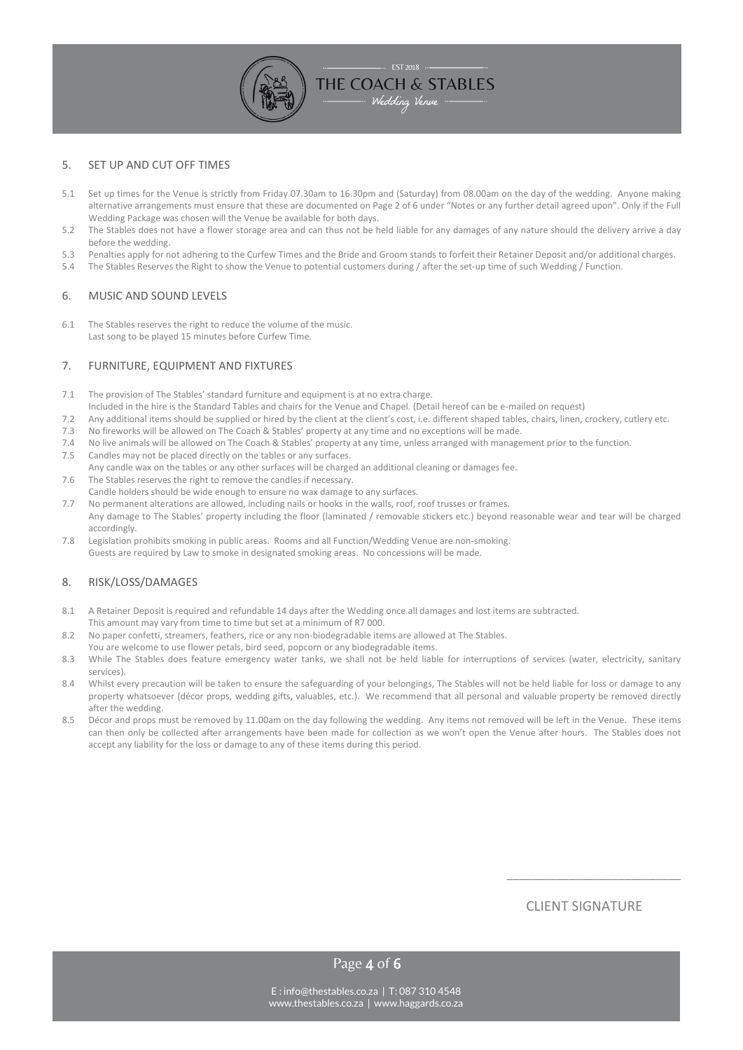#### 5. SET UP AND CUT OFF TIMES

5.1 Set up times for the Venue is strictly from Friday 07.30am to 16.30pm and (Saturday) from 08.00am on the day of the wedding. Anyone making alternative arrangements must ensure that these are documented on Page 2 of 6 under "Notes or any further detail agreed upon". Only if the Full Wedding Package was chosen will the Venue be available for both days.

- Wedding Venue -----

- 5.2 The Stables does not have a flower storage area and can thus not be held liable for any damages of any nature should the delivery arrive a day before the wedding.
- 5.3 Penalties apply for not adhering to the Curfew Times and the Bride and Groom stands to forfeit their Retainer Deposit and/or additional charges.
- 5.4 The Stables Reserves the Right to show the Venue to potential customers during / after the set-up time of such Wedding / Function.

## 6. MUSIC AND SOUND LEVELS

6.1 The Stables reserves the right to reduce the volume of the music. Last song to be played 15 minutes before Curfew Time.

#### 7. FURNITURE, EQUIPMENT AND FIXTURES

- 7.1 The provision of The Stables' standard furniture and equipment is at no extra charge.
- Included in the hire is the Standard Tables and chairs for the Venue and Chapel. (Detail hereof can be e-mailed on request)
- 7.2 Any additional items should be supplied or hired by the client at the client's cost, i.e. different shaped tables, chairs, linen, crockery, cutlery etc.
- 7.3 No fireworks will be allowed on The Coach & Stables' property at any time and no exceptions will be made.
- 7.4 No live animals will be allowed on The Coach & Stables' property at any time, unless arranged with management prior to the function.
- 7.5 Candles may not be placed directly on the tables or any surfaces. Any candle wax on the tables or any other surfaces will be charged an additional cleaning or damages fee.
- 7.6 The Stables reserves the right to remove the candles if necessary. Candle holders should be wide enough to ensure no wax damage to any surfaces.
- 7.7 No permanent alterations are allowed, including nails or hooks in the walls, roof, roof trusses or frames. Any damage to The Stables' property including the floor (laminated / removable stickers etc.) beyond reasonable wear and tear will be charged accordingly.
- 7.8 Legislation prohibits smoking in public areas. Rooms and all Function/Wedding Venue are non-smoking. Guests are required by Law to smoke in designated smoking areas. No concessions will be made.

#### 8. RISK/LOSS/DAMAGES

- 8.1 A Retainer Deposit is required and refundable 14 days after the Wedding once all damages and lost items are subtracted. This amount may vary from time to time but set at a minimum of R7 000.
- 8.2 No paper confetti, streamers, feathers, rice or any non-biodegradable items are allowed at The Stables. You are welcome to use flower petals, bird seed, popcorn or any biodegradable items.
- 8.3 While The Stables does feature emergency water tanks, we shall not be held liable for interruptions of services (water, electricity, sanitary services).
- 8.4 Whilst every precaution will be taken to ensure the safeguarding of your belongings, The Stables will not be held liable for loss or damage to any property whatsoever (décor props, wedding gifts, valuables, etc.). We recommend that all personal and valuable property be removed directly after the wedding.
- 8.5 Décor and props must be removed by 11.00am on the day following the wedding. Any items not removed will be left in the Venue. These items can then only be collected after arrangements have been made for collection as we won't open the Venue after hours. The Stables does not accept any liability for the loss or damage to any of these items during this period.

# CLIENT SIGNATURE

\_\_\_\_\_\_\_\_\_\_\_\_\_\_\_\_\_\_\_\_\_\_\_\_\_\_\_\_

Page 4 of 6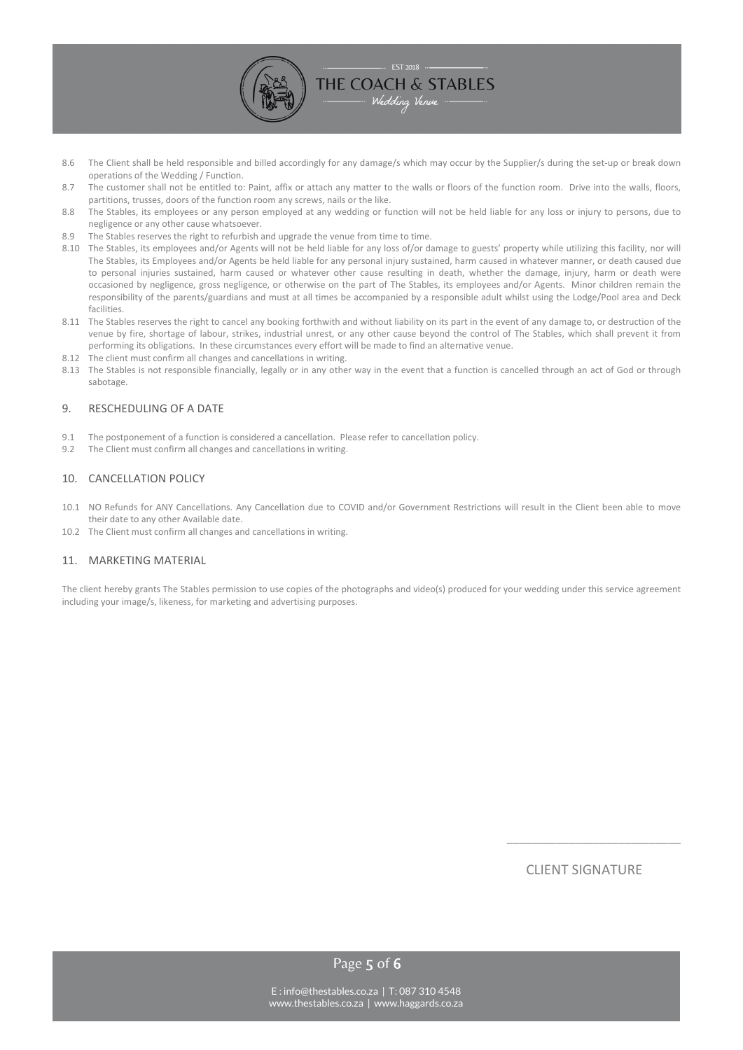

- 8.6 The Client shall be held responsible and billed accordingly for any damage/s which may occur by the Supplier/s during the set-up or break down operations of the Wedding / Function.
- 8.7 The customer shall not be entitled to: Paint, affix or attach any matter to the walls or floors of the function room. Drive into the walls, floors, partitions, trusses, doors of the function room any screws, nails or the like.
- 8.8 The Stables, its employees or any person employed at any wedding or function will not be held liable for any loss or injury to persons, due to negligence or any other cause whatsoever.
- 8.9 The Stables reserves the right to refurbish and upgrade the venue from time to time.
- 8.10 The Stables, its employees and/or Agents will not be held liable for any loss of/or damage to guests' property while utilizing this facility, nor will The Stables, its Employees and/or Agents be held liable for any personal injury sustained, harm caused in whatever manner, or death caused due to personal injuries sustained, harm caused or whatever other cause resulting in death, whether the damage, injury, harm or death were occasioned by negligence, gross negligence, or otherwise on the part of The Stables, its employees and/or Agents. Minor children remain the responsibility of the parents/guardians and must at all times be accompanied by a responsible adult whilst using the Lodge/Pool area and Deck facilities.
- 8.11 The Stables reserves the right to cancel any booking forthwith and without liability on its part in the event of any damage to, or destruction of the venue by fire, shortage of labour, strikes, industrial unrest, or any other cause beyond the control of The Stables, which shall prevent it from performing its obligations. In these circumstances every effort will be made to find an alternative venue.
- 8.12 The client must confirm all changes and cancellations in writing.
- 8.13 The Stables is not responsible financially, legally or in any other way in the event that a function is cancelled through an act of God or through sabotage.

#### 9. RESCHEDULING OF A DATE

- 9.1 The postponement of a function is considered a cancellation. Please refer to cancellation policy.
- 9.2 The Client must confirm all changes and cancellations in writing.

#### 10. CANCELLATION POLICY

- 10.1 NO Refunds for ANY Cancellations. Any Cancellation due to COVID and/or Government Restrictions will result in the Client been able to move their date to any other Available date.
- 10.2 The Client must confirm all changes and cancellations in writing.

#### 11. MARKETING MATERIAL

The client hereby grants The Stables permission to use copies of the photographs and video(s) produced for your wedding under this service agreement including your image/s, likeness, for marketing and advertising purposes.

CLIENT SIGNATURE

\_\_\_\_\_\_\_\_\_\_\_\_\_\_\_\_\_\_\_\_\_\_\_\_\_\_\_\_

Page 5 of 6